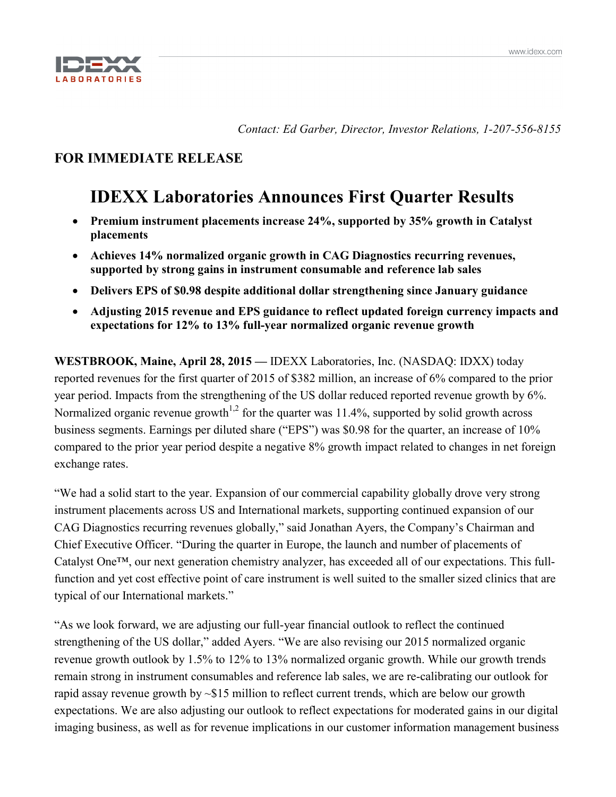

*Contact: Ed Garber, Director, Investor Relations, 1-207-556-8155*

# **FOR IMMEDIATE RELEASE**

# **IDEXX Laboratories Announces First Quarter Results**

- **Premium instrument placements increase 24%, supported by 35% growth in Catalyst placements**
- **Achieves 14% normalized organic growth in CAG Diagnostics recurring revenues, supported by strong gains in instrument consumable and reference lab sales**
- **Delivers EPS of \$0.98 despite additional dollar strengthening since January guidance**
- **Adjusting 2015 revenue and EPS guidance to reflect updated foreign currency impacts and expectations for 12% to 13% full-year normalized organic revenue growth**

**WESTBROOK, Maine, April 28, 2015 —** IDEXX Laboratories, Inc. (NASDAQ: IDXX) today reported revenues for the first quarter of 2015 of \$382 million, an increase of 6% compared to the prior year period. Impacts from the strengthening of the US dollar reduced reported revenue growth by 6%. Normalized organic revenue growth<sup> $1,2$ </sup> for the quarter was  $11.4\%$ , supported by solid growth across business segments. Earnings per diluted share ("EPS") was \$0.98 for the quarter, an increase of 10% compared to the prior year period despite a negative 8% growth impact related to changes in net foreign exchange rates.

"We had a solid start to the year. Expansion of our commercial capability globally drove very strong instrument placements across US and International markets, supporting continued expansion of our CAG Diagnostics recurring revenues globally," said Jonathan Ayers, the Company's Chairman and Chief Executive Officer. "During the quarter in Europe, the launch and number of placements of Catalyst One™, our next generation chemistry analyzer, has exceeded all of our expectations. This fullfunction and yet cost effective point of care instrument is well suited to the smaller sized clinics that are typical of our International markets."

"As we look forward, we are adjusting our full-year financial outlook to reflect the continued strengthening of the US dollar," added Ayers. "We are also revising our 2015 normalized organic revenue growth outlook by 1.5% to 12% to 13% normalized organic growth. While our growth trends remain strong in instrument consumables and reference lab sales, we are re-calibrating our outlook for rapid assay revenue growth by ~\$15 million to reflect current trends, which are below our growth expectations. We are also adjusting our outlook to reflect expectations for moderated gains in our digital imaging business, as well as for revenue implications in our customer information management business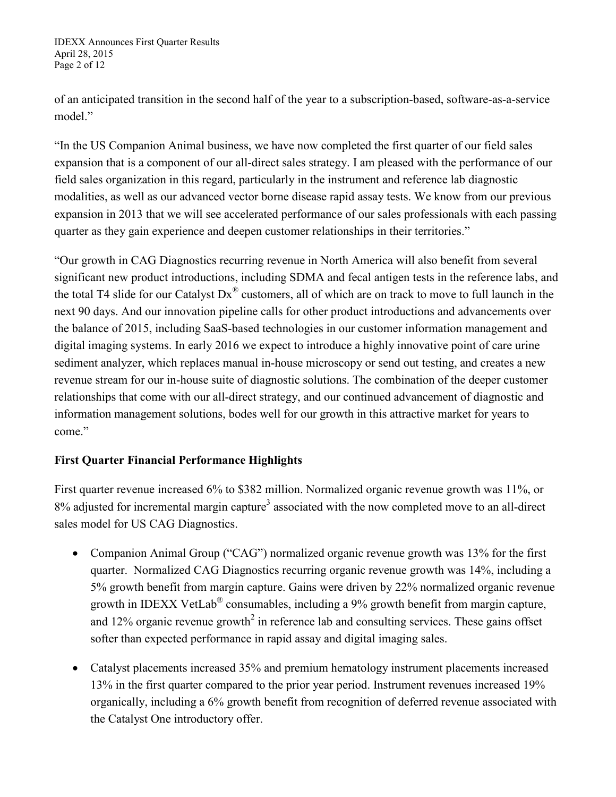IDEXX Announces First Quarter Results April 28, 2015 Page 2 of 12

of an anticipated transition in the second half of the year to a subscription-based, software-as-a-service model."

"In the US Companion Animal business, we have now completed the first quarter of our field sales expansion that is a component of our all-direct sales strategy. I am pleased with the performance of our field sales organization in this regard, particularly in the instrument and reference lab diagnostic modalities, as well as our advanced vector borne disease rapid assay tests. We know from our previous expansion in 2013 that we will see accelerated performance of our sales professionals with each passing quarter as they gain experience and deepen customer relationships in their territories."

"Our growth in CAG Diagnostics recurring revenue in North America will also benefit from several significant new product introductions, including SDMA and fecal antigen tests in the reference labs, and the total T4 slide for our Catalyst  $Dx^{\circledast}$  customers, all of which are on track to move to full launch in the next 90 days. And our innovation pipeline calls for other product introductions and advancements over the balance of 2015, including SaaS-based technologies in our customer information management and digital imaging systems. In early 2016 we expect to introduce a highly innovative point of care urine sediment analyzer, which replaces manual in-house microscopy or send out testing, and creates a new revenue stream for our in-house suite of diagnostic solutions. The combination of the deeper customer relationships that come with our all-direct strategy, and our continued advancement of diagnostic and information management solutions, bodes well for our growth in this attractive market for years to come."

# **First Quarter Financial Performance Highlights**

First quarter revenue increased 6% to \$382 million. Normalized organic revenue growth was 11%, or 8% adjusted for incremental margin capture<sup>3</sup> associated with the now completed move to an all-direct sales model for US CAG Diagnostics.

- Companion Animal Group ("CAG") normalized organic revenue growth was 13% for the first quarter. Normalized CAG Diagnostics recurring organic revenue growth was 14%, including a 5% growth benefit from margin capture. Gains were driven by 22% normalized organic revenue growth in IDEXX VetLab® consumables, including a 9% growth benefit from margin capture, and 12% organic revenue growth<sup>2</sup> in reference lab and consulting services. These gains offset softer than expected performance in rapid assay and digital imaging sales.
- Catalyst placements increased 35% and premium hematology instrument placements increased 13% in the first quarter compared to the prior year period. Instrument revenues increased 19% organically, including a 6% growth benefit from recognition of deferred revenue associated with the Catalyst One introductory offer.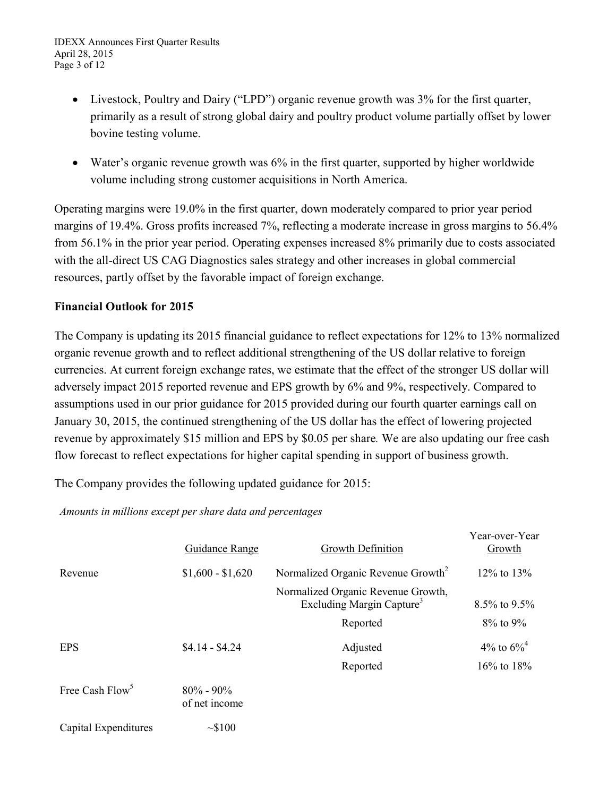- Livestock, Poultry and Dairy ("LPD") organic revenue growth was 3% for the first quarter, primarily as a result of strong global dairy and poultry product volume partially offset by lower bovine testing volume.
- Water's organic revenue growth was 6% in the first quarter, supported by higher worldwide volume including strong customer acquisitions in North America.

Operating margins were 19.0% in the first quarter, down moderately compared to prior year period margins of 19.4%. Gross profits increased 7%, reflecting a moderate increase in gross margins to 56.4% from 56.1% in the prior year period. Operating expenses increased 8% primarily due to costs associated with the all-direct US CAG Diagnostics sales strategy and other increases in global commercial resources, partly offset by the favorable impact of foreign exchange.

# **Financial Outlook for 2015**

The Company is updating its 2015 financial guidance to reflect expectations for 12% to 13% normalized organic revenue growth and to reflect additional strengthening of the US dollar relative to foreign currencies. At current foreign exchange rates, we estimate that the effect of the stronger US dollar will adversely impact 2015 reported revenue and EPS growth by 6% and 9%, respectively. Compared to assumptions used in our prior guidance for 2015 provided during our fourth quarter earnings call on January 30, 2015, the continued strengthening of the US dollar has the effect of lowering projected revenue by approximately \$15 million and EPS by \$0.05 per share*.* We are also updating our free cash flow forecast to reflect expectations for higher capital spending in support of business growth.

The Company provides the following updated guidance for 2015:

*Amounts in millions except per share data and percentages*

|                             | <b>Guidance Range</b>          | Growth Definition                                                           | Year-over-Year<br>Growth  |
|-----------------------------|--------------------------------|-----------------------------------------------------------------------------|---------------------------|
| Revenue                     | $$1,600 - $1,620$              | Normalized Organic Revenue Growth <sup>2</sup>                              | $12\%$ to $13\%$          |
|                             |                                | Normalized Organic Revenue Growth,<br>Excluding Margin Capture <sup>3</sup> | 8.5% to 9.5%              |
|                             |                                | Reported                                                                    | $8\%$ to $9\%$            |
| <b>EPS</b>                  | $$4.14 - $4.24$                | Adjusted                                                                    | 4\% to $6\%$ <sup>4</sup> |
|                             |                                | Reported                                                                    | 16% to 18%                |
| Free Cash Flow <sup>5</sup> | $80\% - 90\%$<br>of net income |                                                                             |                           |
| Capital Expenditures        | ~100                           |                                                                             |                           |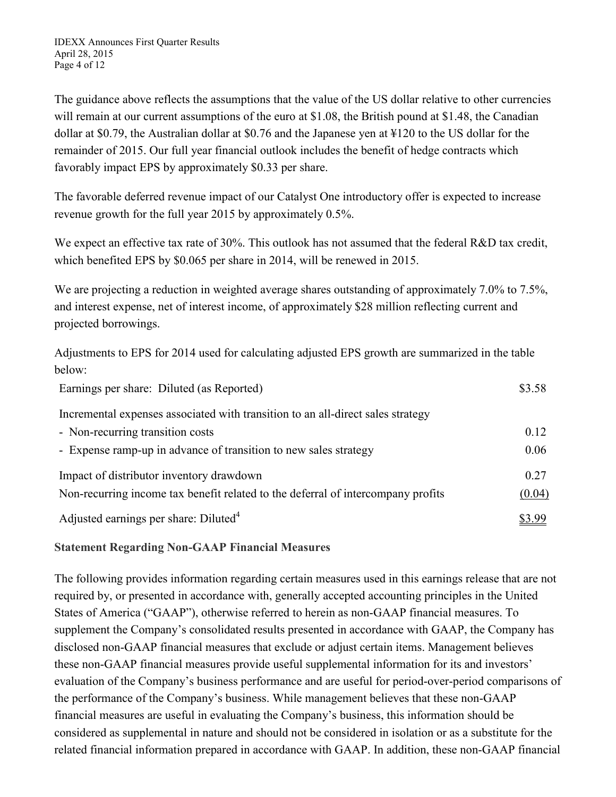The guidance above reflects the assumptions that the value of the US dollar relative to other currencies will remain at our current assumptions of the euro at \$1.08, the British pound at \$1.48, the Canadian dollar at \$0.79, the Australian dollar at \$0.76 and the Japanese yen at ¥120 to the US dollar for the remainder of 2015. Our full year financial outlook includes the benefit of hedge contracts which favorably impact EPS by approximately \$0.33 per share.

The favorable deferred revenue impact of our Catalyst One introductory offer is expected to increase revenue growth for the full year 2015 by approximately 0.5%.

We expect an effective tax rate of 30%. This outlook has not assumed that the federal R&D tax credit, which benefited EPS by \$0.065 per share in 2014, will be renewed in 2015.

We are projecting a reduction in weighted average shares outstanding of approximately 7.0% to 7.5%, and interest expense, net of interest income, of approximately \$28 million reflecting current and projected borrowings.

Adjustments to EPS for 2014 used for calculating adjusted EPS growth are summarized in the table below:

| Earnings per share: Diluted (as Reported)                                        | \$3.58 |
|----------------------------------------------------------------------------------|--------|
| Incremental expenses associated with transition to an all-direct sales strategy  |        |
| - Non-recurring transition costs                                                 | 0.12   |
| - Expense ramp-up in advance of transition to new sales strategy                 | 0.06   |
| Impact of distributor inventory drawdown                                         | 0.27   |
| Non-recurring income tax benefit related to the deferral of intercompany profits | (0.04) |
| Adjusted earnings per share: Diluted <sup>4</sup>                                | \$3.99 |

# **Statement Regarding Non-GAAP Financial Measures**

The following provides information regarding certain measures used in this earnings release that are not required by, or presented in accordance with, generally accepted accounting principles in the United States of America ("GAAP"), otherwise referred to herein as non-GAAP financial measures. To supplement the Company's consolidated results presented in accordance with GAAP, the Company has disclosed non-GAAP financial measures that exclude or adjust certain items. Management believes these non-GAAP financial measures provide useful supplemental information for its and investors' evaluation of the Company's business performance and are useful for period-over-period comparisons of the performance of the Company's business. While management believes that these non-GAAP financial measures are useful in evaluating the Company's business, this information should be considered as supplemental in nature and should not be considered in isolation or as a substitute for the related financial information prepared in accordance with GAAP. In addition, these non-GAAP financial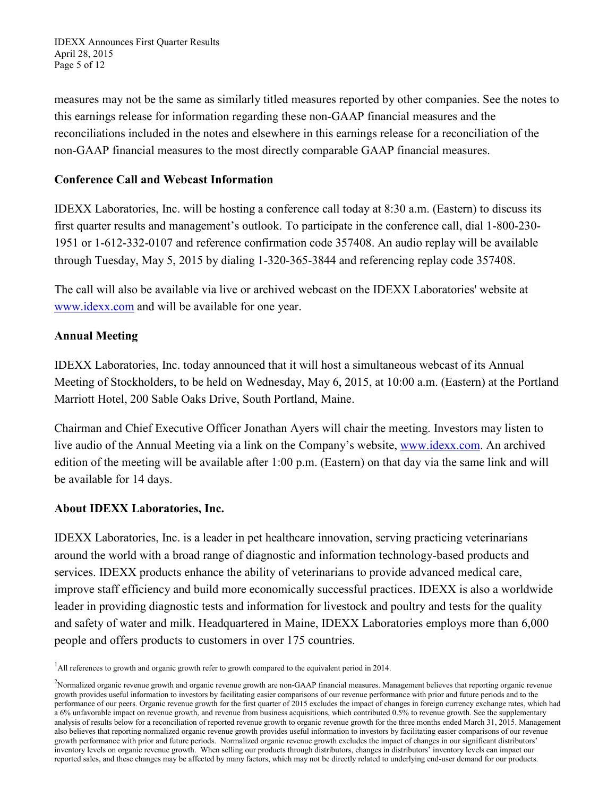IDEXX Announces First Quarter Results April 28, 2015 Page 5 of 12

measures may not be the same as similarly titled measures reported by other companies. See the notes to this earnings release for information regarding these non-GAAP financial measures and the reconciliations included in the notes and elsewhere in this earnings release for a reconciliation of the non-GAAP financial measures to the most directly comparable GAAP financial measures.

# **Conference Call and Webcast Information**

IDEXX Laboratories, Inc. will be hosting a conference call today at 8:30 a.m. (Eastern) to discuss its first quarter results and management's outlook. To participate in the conference call, dial 1-800-230- 1951 or 1-612-332-0107 and reference confirmation code 357408. An audio replay will be available through Tuesday, May 5, 2015 by dialing 1-320-365-3844 and referencing replay code 357408.

The call will also be available via live or archived webcast on the IDEXX Laboratories' website at www.idexx.com and will be available for one year.

# **Annual Meeting**

IDEXX Laboratories, Inc. today announced that it will host a simultaneous webcast of its Annual Meeting of Stockholders, to be held on Wednesday, May 6, 2015, at 10:00 a.m. (Eastern) at the Portland Marriott Hotel, 200 Sable Oaks Drive, South Portland, Maine.

Chairman and Chief Executive Officer Jonathan Ayers will chair the meeting. Investors may listen to live audio of the Annual Meeting via a link on the Company's website, www.idexx.com. An archived edition of the meeting will be available after 1:00 p.m. (Eastern) on that day via the same link and will be available for 14 days.

### **About IDEXX Laboratories, Inc.**

IDEXX Laboratories, Inc. is a leader in pet healthcare innovation, serving practicing veterinarians around the world with a broad range of diagnostic and information technology-based products and services. IDEXX products enhance the ability of veterinarians to provide advanced medical care, improve staff efficiency and build more economically successful practices. IDEXX is also a worldwide leader in providing diagnostic tests and information for livestock and poultry and tests for the quality and safety of water and milk. Headquartered in Maine, IDEXX Laboratories employs more than 6,000 people and offers products to customers in over 175 countries.

<sup>&</sup>lt;sup>1</sup>All references to growth and organic growth refer to growth compared to the equivalent period in 2014.

<sup>&</sup>lt;sup>2</sup>Normalized organic revenue growth and organic revenue growth are non-GAAP financial measures. Management believes that reporting organic revenue growth provides useful information to investors by facilitating easier comparisons of our revenue performance with prior and future periods and to the performance of our peers. Organic revenue growth for the first quarter of 2015 excludes the impact of changes in foreign currency exchange rates, which had a 6% unfavorable impact on revenue growth, and revenue from business acquisitions, which contributed 0.5% to revenue growth. See the supplementary analysis of results below for a reconciliation of reported revenue growth to organic revenue growth for the three months ended March 31, 2015. Management also believes that reporting normalized organic revenue growth provides useful information to investors by facilitating easier comparisons of our revenue growth performance with prior and future periods. Normalized organic revenue growth excludes the impact of changes in our significant distributors' inventory levels on organic revenue growth. When selling our products through distributors, changes in distributors' inventory levels can impact our reported sales, and these changes may be affected by many factors, which may not be directly related to underlying end-user demand for our products.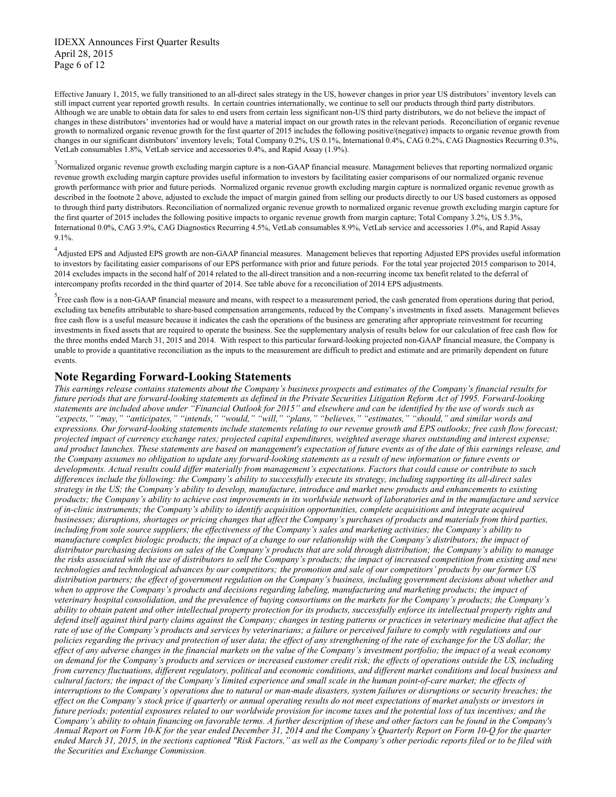IDEXX Announces First Quarter Results April 28, 2015 Page 6 of 12

Effective January 1, 2015, we fully transitioned to an all-direct sales strategy in the US, however changes in prior year US distributors' inventory levels can still impact current year reported growth results. In certain countries internationally, we continue to sell our products through third party distributors. Although we are unable to obtain data for sales to end users from certain less significant non-US third party distributors, we do not believe the impact of changes in these distributors' inventories had or would have a material impact on our growth rates in the relevant periods. Reconciliation of organic revenue growth to normalized organic revenue growth for the first quarter of 2015 includes the following positive/(negative) impacts to organic revenue growth from changes in our significant distributors' inventory levels; Total Company 0.2%, US 0.1%, International 0.4%, CAG 0.2%, CAG Diagnostics Recurring 0.3%, VetLab consumables 1.8%, VetLab service and accessories 0.4%, and Rapid Assay (1.9%).

<sup>3</sup> Normalized organic revenue growth excluding margin capture is a non-GAAP financial measure. Management believes that reporting normalized organic revenue growth excluding margin capture provides useful information to investors by facilitating easier comparisons of our normalized organic revenue growth performance with prior and future periods. Normalized organic revenue growth excluding margin capture is normalized organic revenue growth as described in the footnote 2 above, adjusted to exclude the impact of margin gained from selling our products directly to our US based customers as opposed to through third party distributors. Reconciliation of normalized organic revenue growth to normalized organic revenue growth excluding margin capture for the first quarter of 2015 includes the following positive impacts to organic revenue growth from margin capture; Total Company 3.2%, US 5.3%, International 0.0%, CAG 3.9%, CAG Diagnostics Recurring 4.5%, VetLab consumables 8.9%, VetLab service and accessories 1.0%, and Rapid Assay 9.1%.

<sup>4</sup> Adjusted EPS and Adjusted EPS growth are non-GAAP financial measures. Management believes that reporting Adjusted EPS provides useful information to investors by facilitating easier comparisons of our EPS performance with prior and future periods. For the total year projected 2015 comparison to 2014, 2014 excludes impacts in the second half of 2014 related to the all-direct transition and a non-recurring income tax benefit related to the deferral of intercompany profits recorded in the third quarter of 2014. See table above for a reconciliation of 2014 EPS adjustments.

<sup>5</sup> Free cash flow is a non-GAAP financial measure and means, with respect to a measurement period, the cash generated from operations during that period, excluding tax benefits attributable to share-based compensation arrangements, reduced by the Company's investments in fixed assets. Management believes free cash flow is a useful measure because it indicates the cash the operations of the business are generating after appropriate reinvestment for recurring investments in fixed assets that are required to operate the business. See the supplementary analysis of results below for our calculation of free cash flow for the three months ended March 31, 2015 and 2014. With respect to this particular forward-looking projected non-GAAP financial measure, the Company is unable to provide a quantitative reconciliation as the inputs to the measurement are difficult to predict and estimate and are primarily dependent on future events.

### **Note Regarding Forward-Looking Statements**

*This earnings release contains statements about the Company's business prospects and estimates of the Company's financial results for future periods that are forward-looking statements as defined in the Private Securities Litigation Reform Act of 1995. Forward-looking statements are included above under "Financial Outlook for 2015" and elsewhere and can be identified by the use of words such as "expects," "may," "anticipates," "intends," "would," "will," "plans," "believes," "estimates," "should," and similar words and expressions. Our forward-looking statements include statements relating to our revenue growth and EPS outlooks; free cash flow forecast; projected impact of currency exchange rates; projected capital expenditures, weighted average shares outstanding and interest expense; and product launches. These statements are based on management's expectation of future events as of the date of this earnings release, and the Company assumes no obligation to update any forward-looking statements as a result of new information or future events or developments. Actual results could differ materially from management's expectations. Factors that could cause or contribute to such differences include the following: the Company's ability to successfully execute its strategy, including supporting its all-direct sales strategy in the US; the Company's ability to develop, manufacture, introduce and market new products and enhancements to existing products; the Company's ability to achieve cost improvements in its worldwide network of laboratories and in the manufacture and service of in-clinic instruments; the Company's ability to identify acquisition opportunities, complete acquisitions and integrate acquired businesses; disruptions, shortages or pricing changes that affect the Company's purchases of products and materials from third parties, including from sole source suppliers; the effectiveness of the Company's sales and marketing activities; the Company's ability to manufacture complex biologic products; the impact of a change to our relationship with the Company's distributors; the impact of distributor purchasing decisions on sales of the Company's products that are sold through distribution; the Company's ability to manage the risks associated with the use of distributors to sell the Company's products; the impact of increased competition from existing and new technologies and technological advances by our competitors; the promotion and sale of our competitors' products by our former US distribution partners; the effect of government regulation on the Company's business, including government decisions about whether and when to approve the Company's products and decisions regarding labeling, manufacturing and marketing products; the impact of veterinary hospital consolidation, and the prevalence of buying consortiums on the markets for the Company's products; the Company's ability to obtain patent and other intellectual property protection for its products, successfully enforce its intellectual property rights and defend itself against third party claims against the Company; changes in testing patterns or practices in veterinary medicine that affect the* rate of use of the Company's products and services by veterinarians; a failure or perceived failure to comply with regulations and our *policies regarding the privacy and protection of user data; the effect of any strengthening of the rate of exchange for the US dollar; the effect of any adverse changes in the financial markets on the value of the Company's investment portfolio; the impact of a weak economy on demand for the Company's products and services or increased customer credit risk; the effects of operations outside the US, including from currency fluctuations, different regulatory, political and economic conditions, and different market conditions and local business and cultural factors; the impact of the Company's limited experience and small scale in the human point-of-care market; the effects of interruptions to the Company's operations due to natural or man-made disasters, system failures or disruptions or security breaches; the effect on the Company's stock price if quarterly or annual operating results do not meet expectations of market analysts or investors in future periods; potential exposures related to our worldwide provision for income taxes and the potential loss of tax incentives; and the Company's ability to obtain financing on favorable terms. A further description of these and other factors can be found in the Company's Annual Report on Form 10-K for the year ended December 31, 2014 and the Company's Quarterly Report on Form 10-Q for the quarter ended March 31, 2015, in the sections captioned "Risk Factors," as well as the Company's other periodic reports filed or to be filed with the Securities and Exchange Commission.*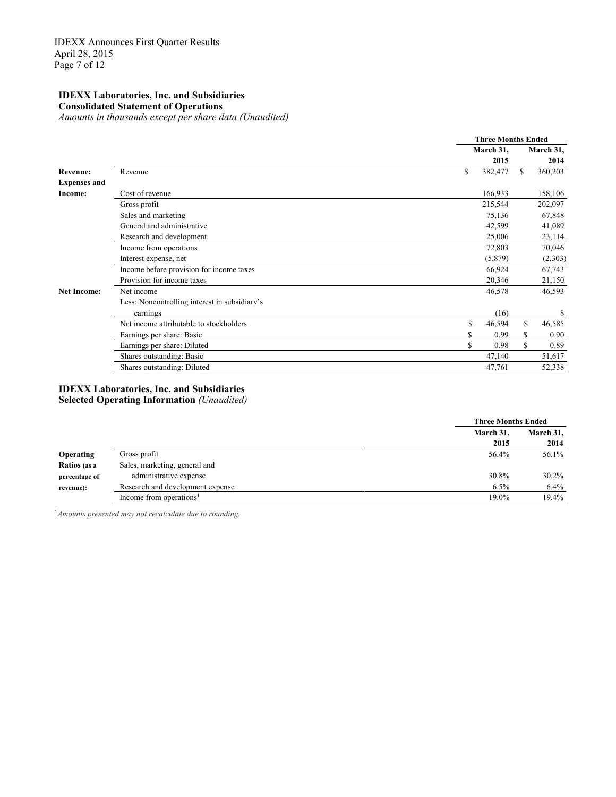#### **IDEXX Laboratories, Inc. and Subsidiaries Consolidated Statement of Operations**

*Amounts in thousands except per share data (Unaudited)*

|                     |                                               | <b>Three Months Ended</b> |               |
|---------------------|-----------------------------------------------|---------------------------|---------------|
|                     |                                               | March 31,                 | March 31,     |
|                     |                                               | 2015                      | 2014          |
| <b>Revenue:</b>     | Revenue                                       | \$<br>382,477             | 360,203<br>S. |
| <b>Expenses and</b> |                                               |                           |               |
| Income:             | Cost of revenue                               | 166,933                   | 158,106       |
|                     | Gross profit                                  | 215,544                   | 202,097       |
|                     | Sales and marketing                           | 75,136                    | 67,848        |
|                     | General and administrative                    | 42,599                    | 41,089        |
|                     | Research and development                      | 25,006                    | 23,114        |
|                     | Income from operations                        | 72,803                    | 70,046        |
|                     | Interest expense, net                         | (5,879)                   | (2,303)       |
|                     | Income before provision for income taxes      | 66,924                    | 67,743        |
|                     | Provision for income taxes                    | 20,346                    | 21,150        |
| <b>Net Income:</b>  | Net income                                    | 46,578                    | 46,593        |
|                     | Less: Noncontrolling interest in subsidiary's |                           |               |
|                     | earnings                                      | (16)                      | 8             |
|                     | Net income attributable to stockholders       | \$<br>46,594              | \$<br>46,585  |
|                     | Earnings per share: Basic                     | 0.99<br>\$                | 0.90<br>\$    |
|                     | Earnings per share: Diluted                   | \$<br>0.98                | S<br>0.89     |
|                     | Shares outstanding: Basic                     | 47,140                    | 51,617        |
|                     | Shares outstanding: Diluted                   | 47,761                    | 52,338        |

#### **IDEXX Laboratories, Inc. and Subsidiaries Selected Operating Information** *(Unaudited)*

|                  |                                     | <b>Three Months Ended</b> |           |
|------------------|-------------------------------------|---------------------------|-----------|
|                  |                                     | March 31,                 | March 31, |
|                  |                                     | 2015                      | 2014      |
| <b>Operating</b> | Gross profit                        | 56.4%                     | 56.1%     |
| Ratios (as a     | Sales, marketing, general and       |                           |           |
| percentage of    | administrative expense              | 30.8%                     | $30.2\%$  |
| revenue):        | Research and development expense    | 6.5%                      | $6.4\%$   |
|                  | Income from operations <sup>1</sup> | 19.0%                     | 19.4%     |

<sup>1</sup> Amounts presented may not recalculate due to rounding.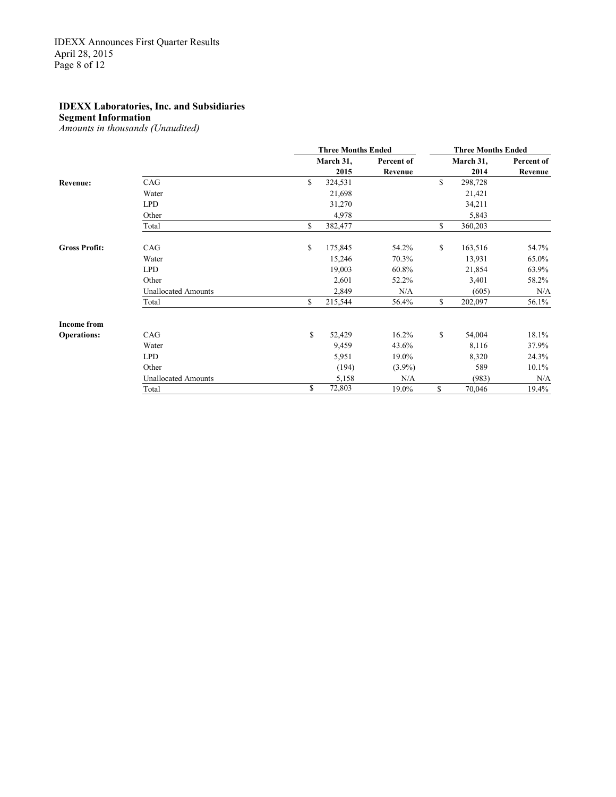### **Segment Information**

*Amounts in thousands (Unaudited)*

|                      |                            | <b>Three Months Ended</b> |            | <b>Three Months Ended</b> |            |  |
|----------------------|----------------------------|---------------------------|------------|---------------------------|------------|--|
|                      |                            | March 31,                 | Percent of | March 31,                 | Percent of |  |
|                      |                            | 2015                      | Revenue    | 2014                      | Revenue    |  |
| <b>Revenue:</b>      | CAG                        | \$<br>324,531             |            | \$<br>298,728             |            |  |
|                      | Water                      | 21,698                    |            | 21,421                    |            |  |
|                      | <b>LPD</b>                 | 31,270                    |            | 34,211                    |            |  |
|                      | Other                      | 4,978                     |            | 5,843                     |            |  |
|                      | Total                      | \$<br>382,477             |            | \$<br>360,203             |            |  |
| <b>Gross Profit:</b> | CAG                        | \$<br>175,845             | 54.2%      | \$<br>163,516             | 54.7%      |  |
|                      | Water                      | 15,246                    | 70.3%      | 13,931                    | 65.0%      |  |
|                      | <b>LPD</b>                 | 19,003                    | 60.8%      | 21,854                    | 63.9%      |  |
|                      | Other                      | 2,601                     | 52.2%      | 3,401                     | 58.2%      |  |
|                      | <b>Unallocated Amounts</b> | 2,849                     | N/A        | (605)                     | N/A        |  |
|                      | Total                      | \$<br>215,544             | 56.4%      | \$<br>202,097             | 56.1%      |  |
| <b>Income from</b>   |                            |                           |            |                           |            |  |
| <b>Operations:</b>   | CAG                        | \$<br>52,429              | 16.2%      | \$<br>54,004              | 18.1%      |  |
|                      | Water                      | 9,459                     | 43.6%      | 8,116                     | 37.9%      |  |
|                      | <b>LPD</b>                 | 5,951                     | 19.0%      | 8,320                     | 24.3%      |  |
|                      | Other                      | (194)                     | $(3.9\%)$  | 589                       | $10.1\%$   |  |
|                      | <b>Unallocated Amounts</b> | 5,158                     | N/A        | (983)                     | N/A        |  |
|                      | Total                      | \$<br>72,803              | 19.0%      | \$<br>70,046              | 19.4%      |  |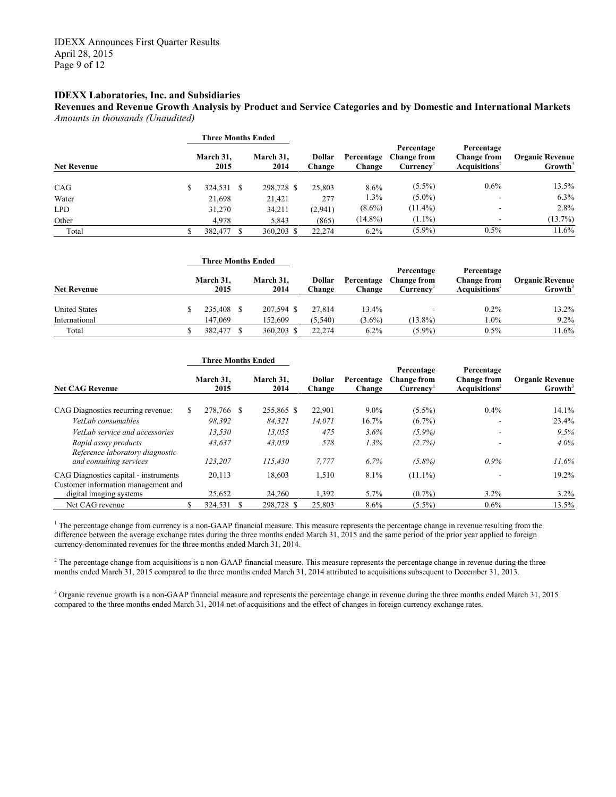**Revenues and Revenue Growth Analysis by Product and Service Categories and by Domestic and International Markets** *Amounts in thousands (Unaudited)*

|                    | Three Months Ended |                   |                         |                      |                                                           |                                                                  |                                               |  |
|--------------------|--------------------|-------------------|-------------------------|----------------------|-----------------------------------------------------------|------------------------------------------------------------------|-----------------------------------------------|--|
| <b>Net Revenue</b> | March 31.<br>2015  | March 31.<br>2014 | <b>Dollar</b><br>Change | Percentage<br>Change | Percentage<br><b>Change from</b><br>Currency <sup>1</sup> | Percentage<br><b>Change from</b><br>Acau is it ions <sup>2</sup> | <b>Organic Revenue</b><br>Growth <sup>3</sup> |  |
| CAG                | 324,531 \$         | 298,728 \$        | 25,803                  | 8.6%                 | $(5.5\%)$                                                 | 0.6%                                                             | 13.5%                                         |  |
| Water              | 21,698             | 21,421            | 277                     | 1.3%                 | $(5.0\%)$                                                 |                                                                  | 6.3%                                          |  |
| <b>LPD</b>         | 31,270             | 34,211            | (2,941)                 | $(8.6\%)$            | $(11.4\%)$                                                | ۰                                                                | 2.8%                                          |  |
| Other              | 4.978              | 5,843             | (865)                   | $(14.8\%)$           | $(1.1\%)$                                                 | ۰                                                                | (13.7%)                                       |  |
| Total              | 382,477 \$         | 360.203 \$        | 22.274                  | $6.2\%$              | $(5.9\%)$                                                 | 0.5%                                                             | 11.6%                                         |  |

|                      | <b>Three Months Ended</b> |  |                   |                         |                      |                                              |                                                                  |                                               |  |
|----------------------|---------------------------|--|-------------------|-------------------------|----------------------|----------------------------------------------|------------------------------------------------------------------|-----------------------------------------------|--|
| <b>Net Revenue</b>   | March 31,<br>2015         |  | March 31.<br>2014 | Dollar<br><b>Change</b> | Percentage<br>Change | Percentage<br><b>Change from</b><br>Currencv | Percentage<br><b>Change from</b><br>Acau is it ions <sup>2</sup> | <b>Organic Revenue</b><br>Growth <sup>3</sup> |  |
| <b>United States</b> | 235,408 \$                |  | 207.594 \$        | 27.814                  | 13.4%                | -                                            | $0.2\%$                                                          | 13.2%                                         |  |
| International        | 147.069                   |  | 152.609           | (5, 540)                | $(3.6\%)$            | $(13.8\%)$                                   | $1.0\%$                                                          | $9.2\%$                                       |  |
| Total                | 382,477 \$                |  | 360.203 \$        | 22.274                  | $6.2\%$              | $(5.9\%)$                                    | 0.5%                                                             | 11.6%                                         |  |

|                                                                              | <b>Three Months Ended</b> |                   |  |                   |                         |                      |                                                           |                                                               |                                               |  |
|------------------------------------------------------------------------------|---------------------------|-------------------|--|-------------------|-------------------------|----------------------|-----------------------------------------------------------|---------------------------------------------------------------|-----------------------------------------------|--|
| <b>Net CAG Revenue</b>                                                       |                           | March 31.<br>2015 |  | March 31.<br>2014 | <b>Dollar</b><br>Change | Percentage<br>Change | Percentage<br><b>Change from</b><br>Currency <sup>1</sup> | Percentage<br><b>Change from</b><br>Acquisitions <sup>2</sup> | <b>Organic Revenue</b><br>Growth <sup>3</sup> |  |
| CAG Diagnostics recurring revenue:                                           |                           | 278,766 \$        |  | 255,865 \$        | 22,901                  | $9.0\%$              | $(5.5\%)$                                                 | 0.4%                                                          | 14.1%                                         |  |
| VetLab consumables                                                           |                           | 98.392            |  | 84.321            | 14,071                  | 16.7%                | $(6.7\%)$                                                 | -                                                             | 23.4%                                         |  |
| VetLab service and accessories                                               |                           | 13,530            |  | 13.055            | 475                     | 3.6%                 | $(5.9\%)$                                                 |                                                               | 9.5%                                          |  |
| Rapid assay products<br>Reference laboratory diagnostic                      |                           | 43.637            |  | 43.059            | 578                     | $1.3\%$              | (2.7%)                                                    |                                                               | $4.0\%$                                       |  |
| and consulting services                                                      |                           | 123.207           |  | 115.430           | 7,777                   | 6.7%                 | $(5.8\%)$                                                 | $0.9\%$                                                       | 11.6%                                         |  |
| CAG Diagnostics capital - instruments<br>Customer information management and |                           | 20,113            |  | 18.603            | 1,510                   | 8.1%                 | $(11.1\%)$                                                |                                                               | 19.2%                                         |  |
| digital imaging systems                                                      |                           | 25,652            |  | 24,260            | 1,392                   | 5.7%                 | $(0.7\%)$                                                 | 3.2%                                                          | $3.2\%$                                       |  |
| Net CAG revenue                                                              |                           | 324.531           |  | 298.728 \$        | 25,803                  | $8.6\%$              | $(5.5\%)$                                                 | $0.6\%$                                                       | 13.5%                                         |  |

 $1$  The percentage change from currency is a non-GAAP financial measure. This measure represents the percentage change in revenue resulting from the difference between the average exchange rates during the three months ended March 31, 2015 and the same period of the prior year applied to foreign currency-denominated revenues for the three months ended March 31, 2014.

 $2$  The percentage change from acquisitions is a non-GAAP financial measure. This measure represents the percentage change in revenue during the three months ended March 31, 2015 compared to the three months ended March 31, 2014 attributed to acquisitions subsequent to December 31, 2013.

<sup>3</sup> Organic revenue growth is a non-GAAP financial measure and represents the percentage change in revenue during the three months ended March 31, 2015 compared to the three months ended March 31, 2014 net of acquisitions and the effect of changes in foreign currency exchange rates.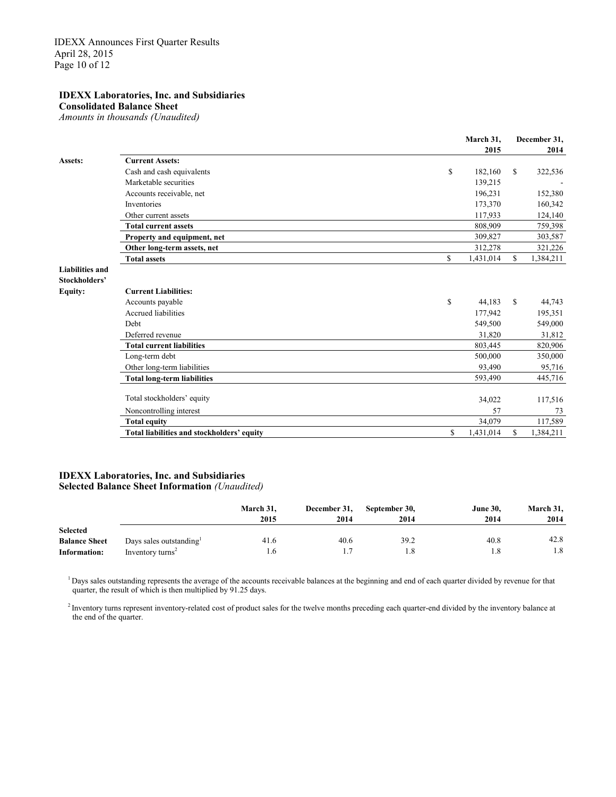**Consolidated Balance Sheet**

*Amounts in thousands (Unaudited)*

|                                         |                                                      | March 31,<br>2015 |    | December 31,<br>2014 |
|-----------------------------------------|------------------------------------------------------|-------------------|----|----------------------|
| Assets:                                 | <b>Current Assets:</b>                               |                   |    |                      |
|                                         | Cash and cash equivalents                            | \$<br>182,160     | \$ | 322,536              |
|                                         | Marketable securities                                | 139,215           |    |                      |
|                                         | Accounts receivable, net                             | 196,231           |    | 152,380              |
|                                         | Inventories                                          | 173,370           |    | 160,342              |
|                                         | Other current assets                                 | 117,933           |    | 124,140              |
|                                         | <b>Total current assets</b>                          | 808,909           |    | 759,398              |
|                                         | Property and equipment, net                          | 309,827           |    | 303,587              |
|                                         | Other long-term assets, net                          | 312,278           |    | 321,226              |
|                                         | <b>Total assets</b>                                  | \$<br>1,431,014   | S. | 1,384,211            |
| <b>Liabilities and</b><br>Stockholders' |                                                      |                   |    |                      |
| <b>Equity:</b>                          | <b>Current Liabilities:</b>                          |                   |    |                      |
|                                         |                                                      | \$<br>44,183      | S  | 44,743               |
|                                         | Accounts payable<br><b>Accrued liabilities</b>       | 177,942           |    |                      |
|                                         | <b>Debt</b>                                          |                   |    | 195,351              |
|                                         |                                                      | 549,500           |    | 549,000              |
|                                         | Deferred revenue<br><b>Total current liabilities</b> | 31,820            |    | 31,812               |
|                                         |                                                      | 803,445           |    | 820,906              |
|                                         | Long-term debt                                       | 500,000           |    | 350,000              |
|                                         | Other long-term liabilities                          | 93,490            |    | 95,716               |
|                                         | <b>Total long-term liabilities</b>                   | 593,490           |    | 445,716              |
|                                         | Total stockholders' equity                           | 34,022            |    | 117,516              |
|                                         | Noncontrolling interest                              | 57                |    | 73                   |
|                                         | <b>Total equity</b>                                  | 34,079            |    | 117,589              |
|                                         | Total liabilities and stockholders' equity           | \$<br>1,431,014   | S. | 1,384,211            |
|                                         |                                                      |                   |    |                      |

#### **IDEXX Laboratories, Inc. and Subsidiaries Selected Balance Sheet Information** *(Unaudited)*

|                                      |                                                        | March 31.<br>2015 | December 31,<br>2014 | September 30,<br>2014 | <b>June 30,</b><br>2014 | March 31,<br>2014 |
|--------------------------------------|--------------------------------------------------------|-------------------|----------------------|-----------------------|-------------------------|-------------------|
| <b>Selected</b>                      |                                                        |                   |                      |                       |                         | 42.8              |
| <b>Balance Sheet</b><br>Information: | Days sales outstanding<br>Inventory turns <sup>2</sup> | 41.6<br>1.6       | 40.6                 | 39.2<br>1.8           | 40.8<br>1.8             | 1.8               |

<sup>1</sup> Days sales outstanding represents the average of the accounts receivable balances at the beginning and end of each quarter divided by revenue for that quarter, the result of which is then multiplied by 91.25 days.

<sup>2</sup> Inventory turns represent inventory-related cost of product sales for the twelve months preceding each quarter-end divided by the inventory balance at the end of the quarter.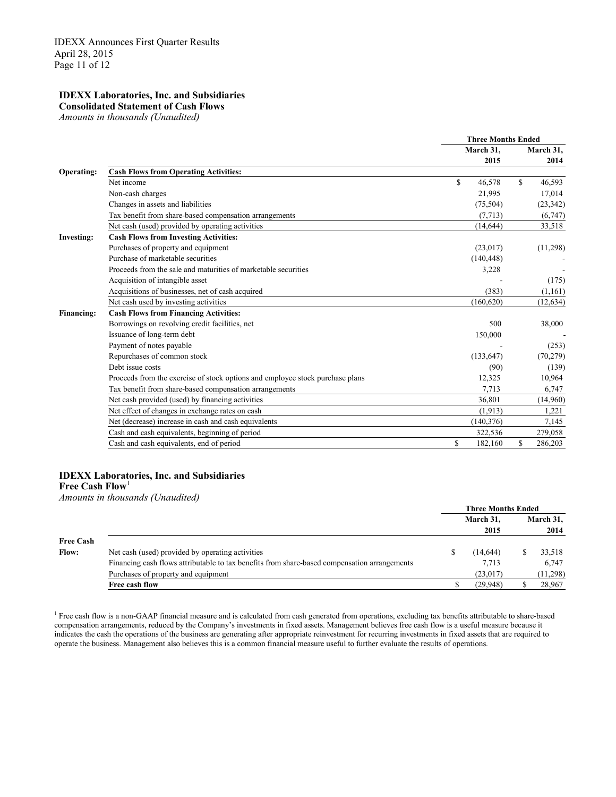### **Consolidated Statement of Cash Flows**

*Amounts in thousands (Unaudited)*

|                   |                                                                               |     | <b>Three Months Ended</b> |               |
|-------------------|-------------------------------------------------------------------------------|-----|---------------------------|---------------|
|                   |                                                                               |     | March 31,                 | March 31,     |
|                   |                                                                               |     | 2015                      | 2014          |
| Operating:        | <b>Cash Flows from Operating Activities:</b>                                  |     |                           |               |
|                   | Net income                                                                    | \$. | 46,578                    | \$<br>46,593  |
|                   | Non-cash charges                                                              |     | 21,995                    | 17,014        |
|                   | Changes in assets and liabilities                                             |     | (75, 504)                 | (23, 342)     |
|                   | Tax benefit from share-based compensation arrangements                        |     | (7, 713)                  | (6,747)       |
|                   | Net cash (used) provided by operating activities                              |     | (14, 644)                 | 33,518        |
| <b>Investing:</b> | <b>Cash Flows from Investing Activities:</b>                                  |     |                           |               |
|                   | Purchases of property and equipment                                           |     | (23,017)                  | (11,298)      |
|                   | Purchase of marketable securities                                             |     | (140, 448)                |               |
|                   | Proceeds from the sale and maturities of marketable securities                |     | 3,228                     |               |
|                   | Acquisition of intangible asset                                               |     |                           | (175)         |
|                   | Acquisitions of businesses, net of cash acquired                              |     | (383)                     | (1,161)       |
|                   | Net cash used by investing activities                                         |     | (160, 620)                | (12, 634)     |
| <b>Financing:</b> | <b>Cash Flows from Financing Activities:</b>                                  |     |                           |               |
|                   | Borrowings on revolving credit facilities, net                                |     | 500                       | 38,000        |
|                   | Issuance of long-term debt                                                    |     | 150,000                   |               |
|                   | Payment of notes payable                                                      |     |                           | (253)         |
|                   | Repurchases of common stock                                                   |     | (133, 647)                | (70, 279)     |
|                   | Debt issue costs                                                              |     | (90)                      | (139)         |
|                   | Proceeds from the exercise of stock options and employee stock purchase plans |     | 12,325                    | 10,964        |
|                   | Tax benefit from share-based compensation arrangements                        |     | 7.713                     | 6,747         |
|                   | Net cash provided (used) by financing activities                              |     | 36.801                    | (14,960)      |
|                   | Net effect of changes in exchange rates on cash                               |     | (1,913)                   | 1,221         |
|                   | Net (decrease) increase in cash and cash equivalents                          |     | (140, 376)                | 7,145         |
|                   | Cash and cash equivalents, beginning of period                                |     | 322,536                   | 279,058       |
|                   | Cash and cash equivalents, end of period                                      | \$  | 182,160                   | \$<br>286,203 |
|                   |                                                                               |     |                           |               |

#### **IDEXX Laboratories, Inc. and Subsidiaries**

**Free Cash Flow**<sup>1</sup>

*Amounts in thousands (Unaudited)*

|                  |                                                                                              | <b>Three Months Ended</b> |                   |
|------------------|----------------------------------------------------------------------------------------------|---------------------------|-------------------|
|                  |                                                                                              | March 31,<br>2015         | March 31,<br>2014 |
| <b>Free Cash</b> |                                                                                              |                           |                   |
| <b>Flow:</b>     | Net cash (used) provided by operating activities                                             | (14, 644)                 | 33,518            |
|                  | Financing cash flows attributable to tax benefits from share-based compensation arrangements | 7,713                     | 6,747             |
|                  | Purchases of property and equipment                                                          | (23,017)                  | (11, 298)         |
|                  | Free cash flow                                                                               | (29,948)                  | 28,967            |

<sup>1</sup> Free cash flow is a non-GAAP financial measure and is calculated from cash generated from operations, excluding tax benefits attributable to share-based compensation arrangements, reduced by the Company's investments in fixed assets. Management believes free cash flow is a useful measure because it indicates the cash the operations of the business are generating after appropriate reinvestment for recurring investments in fixed assets that are required to operate the business. Management also believes this is a common financial measure useful to further evaluate the results of operations.